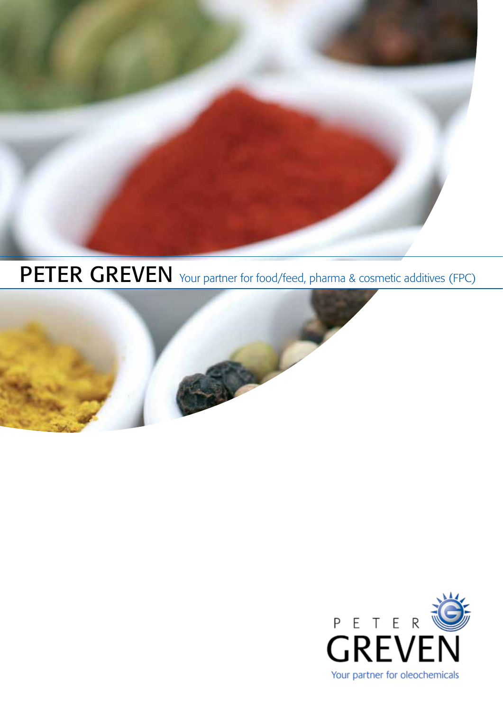

PETER GREVEN Your partner for food/feed, pharma & cosmetic additives (FPC)



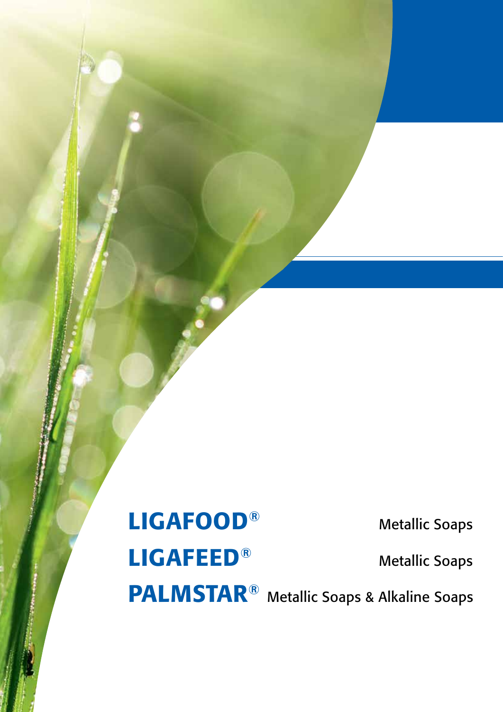PALMSTAR® Metallic Soaps & Alkaline Soaps

LIGAFOOD® Metallic Soaps LIGAFEED<sup>®</sup> Metallic Soaps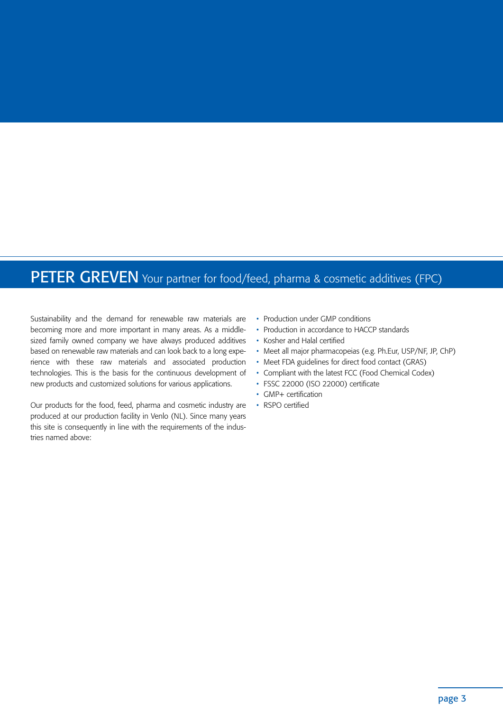## PETER GREVEN Your partner for food/feed, pharma & cosmetic additives (FPC)

Sustainability and the demand for renewable raw materials are becoming more and more important in many areas. As a middlesized family owned company we have always produced additives based on renewable raw materials and can look back to a long experience with these raw materials and associated production technologies. This is the basis for the continuous development of new products and customized solutions for various applications.

Our products for the food, feed, pharma and cosmetic industry are produced at our production facility in Venlo (NL). Since many years this site is consequently in line with the requirements of the industries named above:

- Production under GMP conditions
- Production in accordance to HACCP standards
- Kosher and Halal certified
- Meet all major pharmacopeias (e.g. Ph.Eur, USP/NF, JP, ChP)
- Meet FDA guidelines for direct food contact (GRAS)
- Compliant with the latest FCC (Food Chemical Codex)
- FSSC 22000 (ISO 22000) certificate
- GMP+ certification
- RSPO certified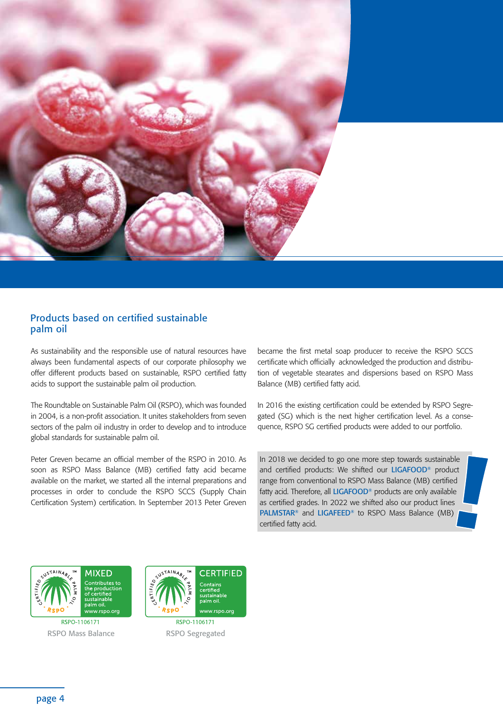

## Products based on certified sustainable palm oil

As sustainability and the responsible use of natural resources have always been fundamental aspects of our corporate philosophy we offer different products based on sustainable, RSPO certified fatty acids to support the sustainable palm oil production.

The Roundtable on Sustainable Palm Oil (RSPO), which was founded in 2004, is a non-profit association. It unites stakeholders from seven sectors of the palm oil industry in order to develop and to introduce global standards for sustainable palm oil.

Peter Greven became an official member of the RSPO in 2010. As soon as RSPO Mass Balance (MB) certified fatty acid became available on the market, we started all the internal preparations and processes in order to conclude the RSPO SCCS (Supply Chain Certification System) certification. In September 2013 Peter Greven became the first metal soap producer to receive the RSPO SCCS certificate which officially acknowledged the production and distribution of vegetable stearates and dispersions based on RSPO Mass Balance (MB) certified fatty acid.

In 2016 the existing certification could be extended by RSPO Segregated (SG) which is the next higher certification level. As a consequence, RSPO SG certified products were added to our portfolio.

In 2018 we decided to go one more step towards sustainable and certified products: We shifted our LIGAFOOD® product range from conventional to RSPO Mass Balance (MB) certified fatty acid. Therefore, all LIGAFOOD® products are only available as certified grades. In 2022 we shifted also our product lines PALMSTAR® and LIGAFEED® to RSPO Mass Balance (MB) certified fatty acid.



RSPO-1106171 RSPO Mass Balance RSPO Segregated

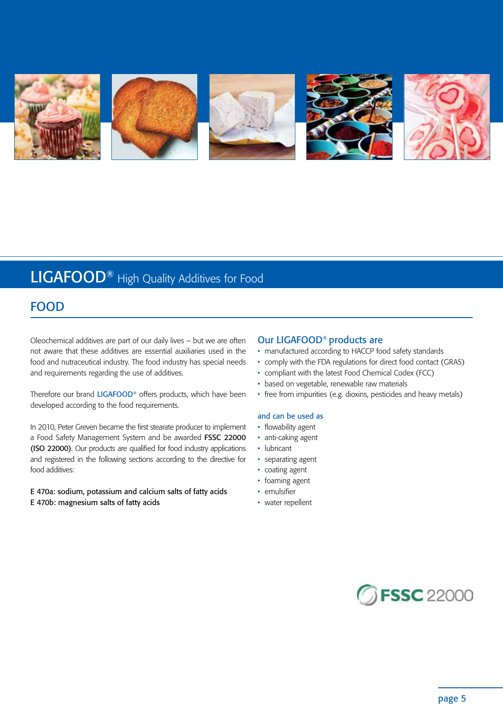

# LIGAFOOD® High Quality Additives for Food

## FOOD

Oleochemical additives are part of our daily lives – but we are often not aware that these additives are essential auxiliaries used in the food and nutraceutical industry. The food industry has special needs and requirements regarding the use of additives.

Therefore our brand LIGAFOOD® offers products, which have been developed according to the food requirements.

In 2010, Peter Greven became the first stearate producer to implement a Food Safety Management System and be awarded FSSC 22000 (ISO 22000). Our products are qualified for food industry applications and registered in the following sections according to the directive for food additives:

E 470a: sodium, potassium and calcium salts of fatty acids E 470b: magnesium salts of fatty acids

## Our LIGAFOOD® products are

- manufactured according to HACCP food safety standards
- comply with the FDA regulations for direct food contact (GRAS)
- compliant with the latest Food Chemical Codex (FCC)
- based on vegetable, renewable raw materials
- free from impurities (e.g. dioxins, pesticides and heavy metals)

#### and can be used as

- flowability agent
- anti-caking agent
- lubricant
- separating agent
- coating agent
- foaming agent
- emulsifier
- water repellent

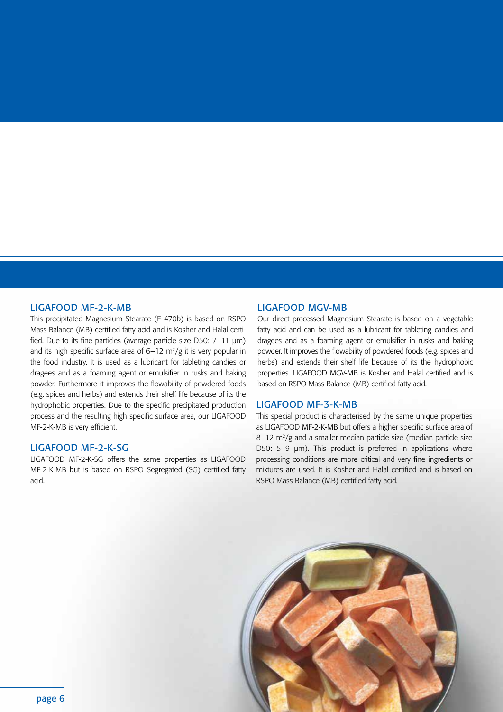#### LIGAFOOD MF-2-K-MB

This precipitated Magnesium Stearate (E 470b) is based on RSPO Mass Balance (MB) certified fatty acid and is Kosher and Halal certified. Due to its fine particles (average particle size D50: 7–11 μm) and its high specific surface area of  $6-12$  m<sup>2</sup>/g it is very popular in the food industry. It is used as a lubricant for tableting candies or dragees and as a foaming agent or emulsifier in rusks and baking powder. Furthermore it improves the flowability of powdered foods (e.g. spices and herbs) and extends their shelf life because of its the hydrophobic properties. Due to the specific precipitated production process and the resulting high specific surface area, our LIGAFOOD MF-2-K-MB is very efficient.

## LIGAFOOD MF-2-K-SG

LIGAFOOD MF-2-K-SG offers the same properties as LIGAFOOD MF-2-K-MB but is based on RSPO Segregated (SG) certified fatty acid.

#### LIGAFOOD MGV-MB

Our direct processed Magnesium Stearate is based on a vegetable fatty acid and can be used as a lubricant for tableting candies and dragees and as a foaming agent or emulsifier in rusks and baking powder. It improves the flowability of powdered foods (e.g. spices and herbs) and extends their shelf life because of its the hydrophobic properties. LIGAFOOD MGV-MB is Kosher and Halal certified and is based on RSPO Mass Balance (MB) certified fatty acid.

## LIGAFOOD MF-3-K-MB

This special product is characterised by the same unique properties as LIGAFOOD MF-2-K-MB but offers a higher specific surface area of  $8-12$  m<sup>2</sup>/g and a smaller median particle size (median particle size D50: 5–9 μm). This product is preferred in applications where processing conditions are more critical and very fine ingredients or mixtures are used. It is Kosher and Halal certified and is based on RSPO Mass Balance (MB) certified fatty acid.

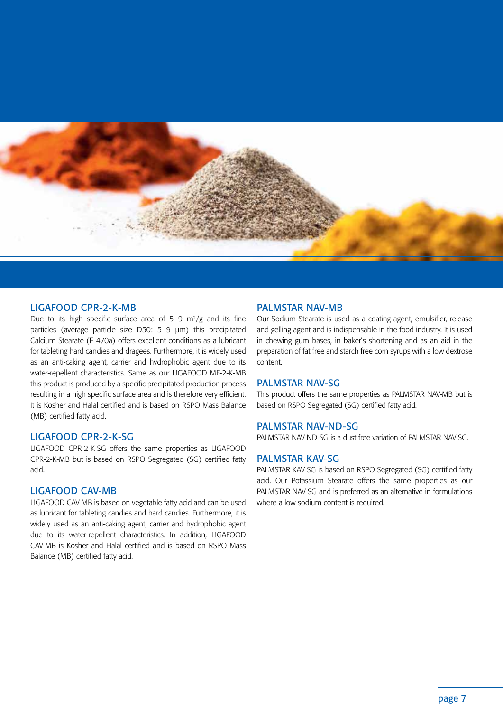

### LIGAFOOD CPR-2-K-MB

Due to its high specific surface area of  $5-9$  m<sup>2</sup>/g and its fine particles (average particle size D50: 5–9 μm) this precipitated Calcium Stearate (E 470a) offers excellent conditions as a lubricant for tableting hard candies and dragees. Furthermore, it is widely used as an anti-caking agent, carrier and hydrophobic agent due to its water-repellent characteristics. Same as our LIGAFOOD MF-2-K-MB this product is produced by a specific precipitated production process resulting in a high specific surface area and is therefore very efficient. It is Kosher and Halal certified and is based on RSPO Mass Balance (MB) certified fatty acid.

## LIGAFOOD CPR-2-K-SG

LIGAFOOD CPR-2-K-SG offers the same properties as LIGAFOOD CPR-2-K-MB but is based on RSPO Segregated (SG) certified fatty acid.

## LIGAFOOD CAV-MB

LIGAFOOD CAV-MB is based on vegetable fatty acid and can be used as lubricant for tableting candies and hard candies. Furthermore, it is widely used as an anti-caking agent, carrier and hydrophobic agent due to its water-repellent characteristics. In addition, LIGAFOOD CAV-MB is Kosher and Halal certified and is based on RSPO Mass Balance (MB) certified fatty acid.

## PALMSTAR NAV-MB

Our Sodium Stearate is used as a coating agent, emulsifier, release and gelling agent and is indispensable in the food industry. It is used in chewing gum bases, in baker's shortening and as an aid in the preparation of fat free and starch free corn syrups with a low dextrose content.

## PALMSTAR NAV-SG

This product offers the same properties as PALMSTAR NAV-MB but is based on RSPO Segregated (SG) certified fatty acid.

## PALMSTAR NAV-ND-SG

PALMSTAR NAV-ND-SG is a dust free variation of PALMSTAR NAV-SG.

## PALMSTAR KAV-SG

PALMSTAR KAV-SG is based on RSPO Segregated (SG) certified fatty acid. Our Potassium Stearate offers the same properties as our PALMSTAR NAV-SG and is preferred as an alternative in formulations where a low sodium content is required.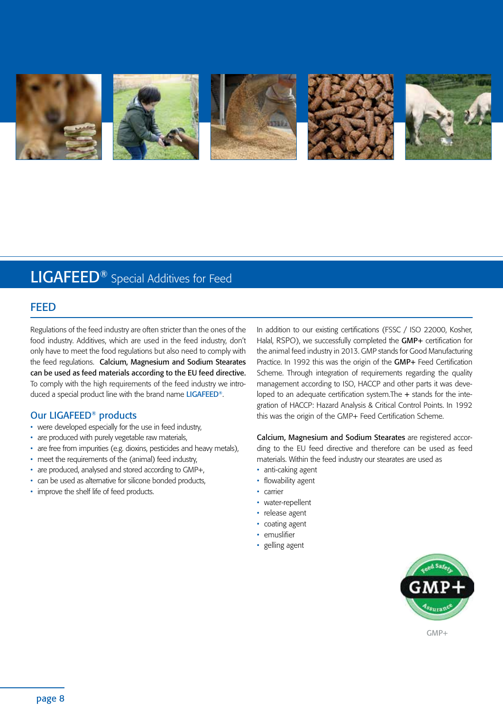

# LIGAFEED® Special Additives for Feed

## **FFFD**

Regulations of the feed industry are often stricter than the ones of the food industry. Additives, which are used in the feed industry, don't only have to meet the food regulations but also need to comply with the feed regulations. Calcium, Magnesium and Sodium Stearates can be used as feed materials according to the EU feed directive. To comply with the high requirements of the feed industry we introduced a special product line with the brand name LIGAFEED®.

## Our LIGAFEED® products

- were developed especially for the use in feed industry,
- are produced with purely vegetable raw materials,
- are free from impurities (e.g. dioxins, pesticides and heavy metals),
- meet the requirements of the (animal) feed industry,
- are produced, analysed and stored according to GMP+,
- can be used as alternative for silicone bonded products,
- improve the shelf life of feed products.

In addition to our existing certifications (FSSC / ISO 22000, Kosher, Halal, RSPO), we successfully completed the GMP+ certification for the animal feed industry in 2013. GMP stands for Good Manufacturing Practice. In 1992 this was the origin of the GMP+ Feed Certification Scheme. Through integration of requirements regarding the quality management according to ISO, HACCP and other parts it was developed to an adequate certification system. The + stands for the integration of HACCP: Hazard Analysis & Critical Control Points. In 1992 this was the origin of the GMP+ Feed Certification Scheme.

Calcium, Magnesium and Sodium Stearates are registered according to the EU feed directive and therefore can be used as feed materials. Within the feed industry our stearates are used as

- anti-caking agent
- flowability agent
- carrier
- water-repellent
- release agent
- coating agent
- emuslifier
- gelling agent



GMP+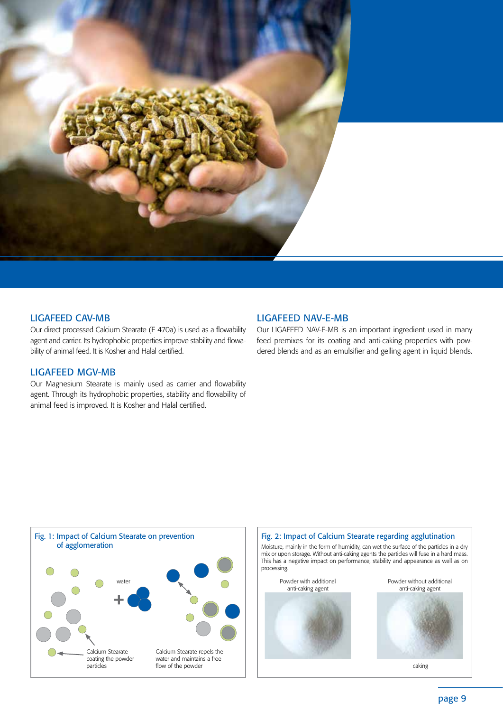

## LIGAFEED CAV-MB

Our direct processed Calcium Stearate (E 470a) is used as a flowability agent and carrier. Its hydrophobic properties improve stability and flowability of animal feed. It is Kosher and Halal certified.

## LIGAFEED MGV-MB

Our Magnesium Stearate is mainly used as carrier and flowability agent. Through its hydrophobic properties, stability and flowability of animal feed is improved. It is Kosher and Halal certified.

## LIGAFEED NAV-E-MB

Our LIGAFEED NAV-E-MB is an important ingredient used in many feed premixes for its coating and anti-caking properties with powdered blends and as an emulsifier and gelling agent in liquid blends.



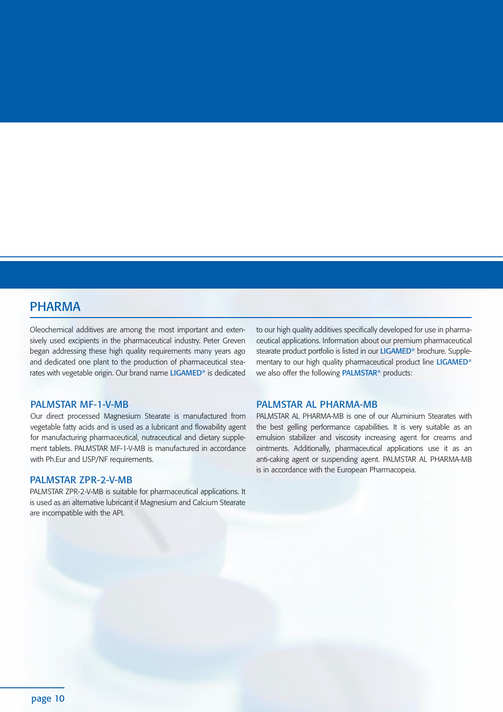## PHARMA

Oleochemical additives are among the most important and extensively used excipients in the pharmaceutical industry. Peter Greven began addressing these high quality requirements many years ago and dedicated one plant to the production of pharmaceutical stearates with vegetable origin. Our brand name LIGAMED® is dedicated

## PALMSTAR MF-1-V-MB

Our direct processed Magnesium Stearate is manufactured from vegetable fatty acids and is used as a lubricant and flowability agent for manufacturing pharmaceutical, nutraceutical and dietary supplement tablets. PALMSTAR MF-1-V-MB is manufactured in accordance with Ph.Eur and USP/NF requirements.

### PALMSTAR ZPR-2-V-MB

PALMSTAR ZPR-2-V-MB is suitable for pharmaceutical applications. It is used as an alternative lubricant if Magnesium and Calcium Stearate are incompatible with the API.

to our high quality additives specifically developed for use in pharmaceutical applications. Information about our premium pharmaceutical stearate product portfolio is listed in our LIGAMED<sup>®</sup> brochure. Supplementary to our high quality pharmaceutical product line LIGAMED® we also offer the following PALMSTAR® products:

## PALMSTAR AL PHARMA-MB

PALMSTAR AL PHARMA-MB is one of our Aluminium Stearates with the best gelling performance capabilities. It is very suitable as an emulsion stabilizer and viscosity increasing agent for creams and ointments. Additionally, pharmaceutical applications use it as an anti-caking agent or suspending agent. PALMSTAR AL PHARMA-MB is in accordance with the European Pharmacopeia.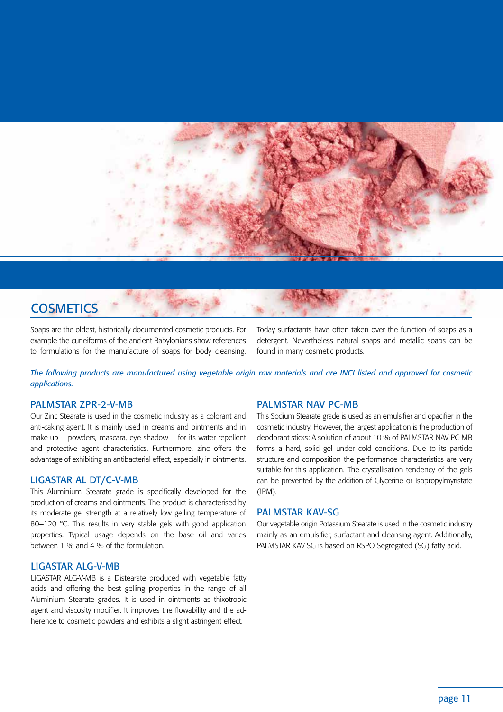

## **COSMETICS**

Soaps are the oldest, historically documented cosmetic products. For example the cuneiforms of the ancient Babylonians show references to formulations for the manufacture of soaps for body cleansing.

Today surfactants have often taken over the function of soaps as a detergent. Nevertheless natural soaps and metallic soaps can be found in many cosmetic products.

*The following products are manufactured using vegetable origin raw materials and are INCI listed and approved for cosmetic applications.*

## PALMSTAR ZPR-2-V-MB

Our Zinc Stearate is used in the cosmetic industry as a colorant and anti-caking agent. It is mainly used in creams and ointments and in make-up – powders, mascara, eye shadow – for its water repellent and protective agent characteristics. Furthermore, zinc offers the advantage of exhibiting an antibacterial effect, especially in ointments.

## LIGASTAR AL DT/C-V-MB

This Aluminium Stearate grade is specifically developed for the production of creams and ointments. The product is characterised by its moderate gel strength at a relatively low gelling temperature of 80–120 °C. This results in very stable gels with good application properties. Typical usage depends on the base oil and varies between 1 % and 4 % of the formulation.

## LIGASTAR ALG-V-MB

LIGASTAR ALG-V-MB is a Distearate produced with vegetable fatty acids and offering the best gelling properties in the range of all Aluminium Stearate grades. It is used in ointments as thixotropic agent and viscosity modifier. It improves the flowability and the adherence to cosmetic powders and exhibits a slight astringent effect.

## PALMSTAR NAV PC-MB

This Sodium Stearate grade is used as an emulsifier and opacifier in the cosmetic industry. However, the largest application is the production of deodorant sticks: A solution of about 10 % of PALMSTAR NAV PC-MB forms a hard, solid gel under cold conditions. Due to its particle structure and composition the performance characteristics are very suitable for this application. The crystallisation tendency of the gels can be prevented by the addition of Glycerine or Isopropylmyristate (IPM).

### PALMSTAR KAV-SG

Our vegetable origin Potassium Stearate is used in the cosmetic industry mainly as an emulsifier, surfactant and cleansing agent. Additionally, PALMSTAR KAV-SG is based on RSPO Segregated (SG) fatty acid.